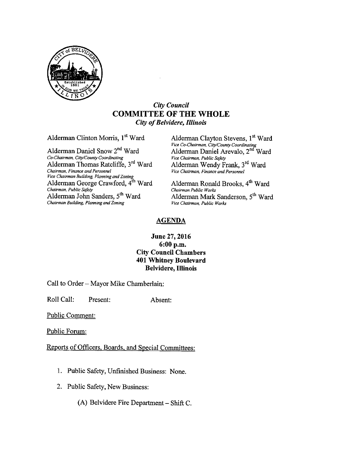

#### **City Council COMMITTEE OF THE WHOLE City of Belvidere, Illinois**

Alderman Clinton Morris, 1st Ward

Alderman Daniel Snow 2<sup>nd</sup> Ward Co-Chairman, City/County Coordinating Alderman Thomas Ratcliffe, 3rd Ward Chairman, Finance and Personnel Vice Chairman Building, Planning and Zoning Alderman George Crawford, 4<sup>th</sup> Ward Chairman, Public Safety Alderman John Sanders, 5<sup>th</sup> Ward Chairman Building, Planning and Zoning

Alderman Clayton Stevens, 1st Ward Vice Co-Chairman, City/County Coordinating Alderman Daniel Arevalo, 2<sup>nd</sup> Ward Vice Chairman, Public Safety Alderman Wendy Frank, 3rd Ward<br>Vice Chairman, Finance and Personnel

Alderman Ronald Brooks, 4th Ward Chairman Public Works Alderman Mark Sanderson, 5<sup>th</sup> Ward Vice Chairman, Public Works

#### **AGENDA**

#### June 27, 2016 6:00 p.m. **City Council Chambers 401 Whitney Boulevard Belvidere, Illinois**

Call to Order - Mayor Mike Chamberlain:

Roll Call: Present: Absent:

**Public Comment:** 

Public Forum:

Reports of Officers, Boards, and Special Committees:

- 1. Public Safety, Unfinished Business: None.
- 2. Public Safety, New Business:

(A) Belvidere Fire Department  $-$  Shift C.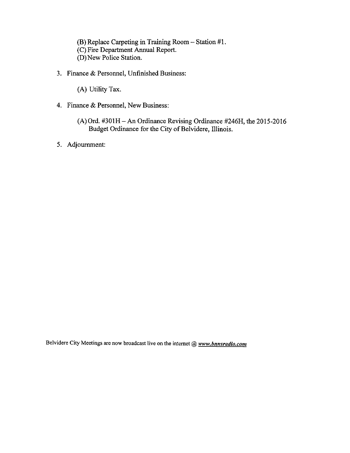(B) Replace Carpeting in Training Room - Station #1. C) Fire Department Annual Report. D) New Police Station.

- 3. Finance & Personnel, Unfinished Business:
	- A) Utility Tax.
- 4. Finance & Personnel, New Business:
	- A) Ord. #301H—An Ordinance Revising Ordinance #246H, the 2015- 2016 Budget Ordinance for the City of Belvidere, Illinois.
- 5. Adjournment:

Belvidere City Meetings are now broadcast live on the internet  $@$  www.bnnsradio.com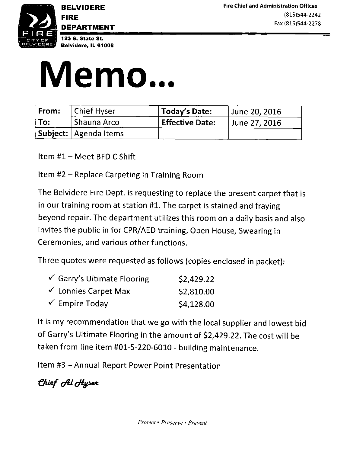

DEPARTMENT

BELVIDERE **EXECUTERE Fire Chief and Administration Offices FIRE** (815)544-2242 Fax( 815) 544-2278



# Memo...

| From: | <b>Chief Hyser</b>      | Today's Date:          | June 20, 2016 |
|-------|-------------------------|------------------------|---------------|
| To:   | Shauna Arco             | <b>Effective Date:</b> | June 27, 2016 |
|       | Subject:   Agenda Items |                        |               |

- Item  $#1 -$  Meet BFD C Shift
- Item #2 Replace Carpeting in Training Room

The Belvidere Fire Dept. is requesting to replace the present carpet that is in our training room at station #1. The carpet is stained and fraying beyond repair. The department utilizes this room on <sup>a</sup> daily basis and also invites the public in for CPR/AED training, Open House, Swearing in Ceremonies, and various other functions.

Three quotes were requested as follows (copies enclosed in packet):

| $\checkmark$ Garry's Ultimate Flooring | \$2,429.22 |
|----------------------------------------|------------|
| $\checkmark$ Lonnies Carpet Max        | \$2,810.00 |
| $\checkmark$ Empire Today              | \$4,128.00 |

It is my recommendation that we go with the local supplier and lowest bid of Garry's Ultimate Flooring in the amount of \$2,429.22. The cost will be taken from line item #01-5-220-6010 - building maintenance.

Item #3 - Annual Report Power Point Presentation

Chief *Al Hyser*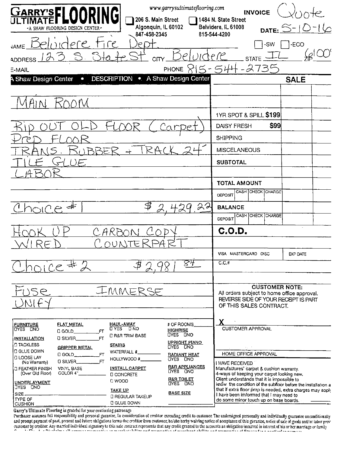| www.garrysultimateflooring.com<br>GARRY'S FLOORING<br>206 S. Main Street                                                                                                           | <b>INVOICE</b><br>1484 N. State Street                                                                      |  |  |  |
|------------------------------------------------------------------------------------------------------------------------------------------------------------------------------------|-------------------------------------------------------------------------------------------------------------|--|--|--|
| Algonquin, IL 60102<br>-A SHAW FLOORING DESIGN CENTER<br>847-458-2345                                                                                                              | Belvidere, IL 61008<br>DATE: $5-10-16$<br>815-544-4200                                                      |  |  |  |
| ⊝                                                                                                                                                                                  | -ECO<br>-SW                                                                                                 |  |  |  |
| eluidere<br>$\sum_{i=1}^{n}$<br>CITY<br><b>ADDRESS</b>                                                                                                                             | <b>STATE</b>                                                                                                |  |  |  |
| E-MAIL                                                                                                                                                                             | PHONE 815-544-2735                                                                                          |  |  |  |
| <b>DESCRIPTION .</b> A Shaw Design Center<br><b>A Shaw Design Center</b><br>$\bullet$                                                                                              | <b>SALE</b>                                                                                                 |  |  |  |
|                                                                                                                                                                                    |                                                                                                             |  |  |  |
|                                                                                                                                                                                    |                                                                                                             |  |  |  |
|                                                                                                                                                                                    | <b>1YR SPOT &amp; SPILL \$199</b>                                                                           |  |  |  |
|                                                                                                                                                                                    | \$99<br><b>DAISY FRESH</b>                                                                                  |  |  |  |
|                                                                                                                                                                                    | <b>SHIPPING</b>                                                                                             |  |  |  |
| RA<br><b>RRE</b>                                                                                                                                                                   | <b>MISCELANEOUS</b>                                                                                         |  |  |  |
| JE,                                                                                                                                                                                | <b>SUBTOTAL</b>                                                                                             |  |  |  |
|                                                                                                                                                                                    |                                                                                                             |  |  |  |
|                                                                                                                                                                                    | <b>TOTAL AMOUNT</b>                                                                                         |  |  |  |
|                                                                                                                                                                                    | CASH CHECK CHARGE<br><b>DEPOSIT</b>                                                                         |  |  |  |
| 22<br>$\cap$ $\cap$                                                                                                                                                                | <b>BALANCE</b>                                                                                              |  |  |  |
|                                                                                                                                                                                    | CASH CHECK CHARGE<br>DEPOSIT                                                                                |  |  |  |
|                                                                                                                                                                                    | C.O.D.                                                                                                      |  |  |  |
|                                                                                                                                                                                    |                                                                                                             |  |  |  |
|                                                                                                                                                                                    | VISA MASTERCARD DISC<br>EXP DATE                                                                            |  |  |  |
| 84<br>$201C2 \pm$                                                                                                                                                                  | $C.C.$ #                                                                                                    |  |  |  |
|                                                                                                                                                                                    |                                                                                                             |  |  |  |
| IMMERSE<br>$\leq \infty$                                                                                                                                                           | <b>CUSTOMER NOTE:</b><br>All orders subject to home office approval.                                        |  |  |  |
|                                                                                                                                                                                    | REVERSE SIDE OF YOUR RECEPT IS PART<br>OF THIS SALES CONTRACT.                                              |  |  |  |
|                                                                                                                                                                                    |                                                                                                             |  |  |  |
| <b>FLAT METAL</b><br>HAUL-AWAY<br>UYES DNO<br># OF ROOMS<br><b>FURNITURE</b><br>LIYES LINO<br><b>HIGHRISE</b>                                                                      | CUSTOMER APPROVAL                                                                                           |  |  |  |
| $C$ Gold<br><b>UYES UNO</b><br><b>LI R&amp;R TRIM BASE</b><br>FT<br><b>D SILVER</b><br>INSTALLA <u>TION</u>                                                                        |                                                                                                             |  |  |  |
| <b>UPRIGHT PIANO</b><br><b>CITACKLESS</b><br><b>STAIRS</b><br><b>LIXES LINO</b><br><b>GRIPPER METAL</b><br><b>O GLUE DOWN</b><br>WATERFALL #                                       |                                                                                                             |  |  |  |
| $0$ GOLD<br><b>RADIANT HEAT</b><br><b>LLOOSE LAY</b><br>HOLLYWOOD #<br>UYES UNO<br>FT<br><b>G SILVER</b> <sub>-</sub><br>(No Warranty)                                             | HOME OFFICE APPROVAL<br>I HAVE RECEIVED                                                                     |  |  |  |
| <b>R&amp;R APPLIANCES</b><br><b>J FEATHER FINISH</b><br><b>VINYL BASE</b><br>INSTALL CARPET<br><b>LIYES UNO</b><br>(Over Old Floor)<br>COLOR 4" $\frac{1}{2}$<br><b>D CONCRETE</b> | Manufactures' carpet & cushion warranty.<br>4-ways of keeping your carpet looking new.                      |  |  |  |
| <b>R&amp;R TOILET</b><br><b>U WOOD</b><br><b>UNDERLAYMENT</b><br>LIVES LINO                                                                                                        | Client understands that it is impossible to<br>know the condition of the subfloor before the installation a |  |  |  |
| JYES DNO<br><b>TAKE UP</b><br><b>BASE SIZE</b><br>SIZE<br><b>C REGULAR TAKEUP</b>                                                                                                  | that if extra floor prep is needed, extra charges may apply<br>I have been imformed that I may need to      |  |  |  |
| TYPE OF<br><b>DIGLUE DOWN</b><br><b>CUSHION</b>                                                                                                                                    | do some minor touch up on base boards.                                                                      |  |  |  |

Garry's Ultimate Flooring is gratchi for your continuing patronage.<br>Purchaser assumes full responsibility and personal gurantee, in consideration of ereditor exreading eredit to customer. The undersigned personally and ind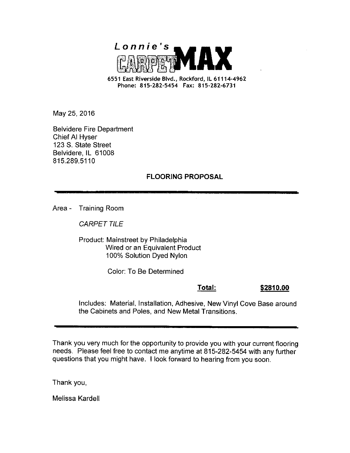

6551 East Riverside Blvd., Rockford, IL 61114-4962 Phone: 815-282-5454 Fax: 815-282-6731

May 25, 2016

Belvidere Fire Department Chief Al Hyser 123 S. State Street Belvidere, IL 61008 815.289.5110

#### FLOORING PROPOSAL

Area - Training Room

CARPET TILE

Product: Mainstreet by Philadelphia Wired or an Equivalent Product 100% Solution Dyed Nylon

Color: To Be Determined

Total: 2810.00

Includes: Material, Installation, Adhesive, New Vinyl Cove Base around the Cabinets and Poles, and New Metal Transitions.

Thank you very much for the opportunity to provide you with your current flooring needs. Please feel free to contact me anytime at 815-282-5454 with any further questions that you might have. I look forward to hearing from you soon.

Thank you,

Melissa Kardell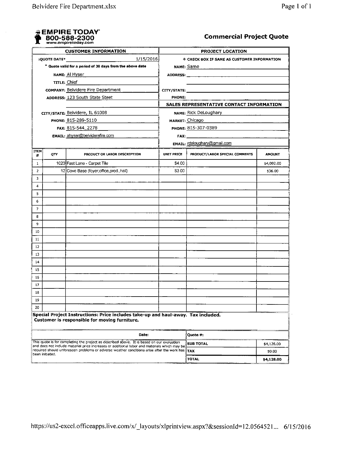

#### **Commercial Project Quote**

| <b>CUSTOMER INFORMATION</b>                                                                                                                                                                |                                                          | <b>PROJECT LOCATION</b>                                                           |                 |                                                                                                                                                                                                                                |               |  |  |
|--------------------------------------------------------------------------------------------------------------------------------------------------------------------------------------------|----------------------------------------------------------|-----------------------------------------------------------------------------------|-----------------|--------------------------------------------------------------------------------------------------------------------------------------------------------------------------------------------------------------------------------|---------------|--|--|
| 1/15/2016<br>:OUOTE DATE*                                                                                                                                                                  |                                                          | <b>E CHECK BOX IF SAME AS CUSTOMER INFORMATION</b>                                |                 |                                                                                                                                                                                                                                |               |  |  |
| * Quote valid for a period of 30 days from the above date                                                                                                                                  |                                                          |                                                                                   | NAME: Same      |                                                                                                                                                                                                                                |               |  |  |
| NAME: Al Hyser                                                                                                                                                                             |                                                          |                                                                                   |                 |                                                                                                                                                                                                                                |               |  |  |
|                                                                                                                                                                                            | TITLE: Chief                                             |                                                                                   |                 |                                                                                                                                                                                                                                |               |  |  |
|                                                                                                                                                                                            |                                                          | <b>COMPANY: Belvidere Fire Department</b>                                         |                 | CITY/STATE: THE STATE OF THE STATE OF THE STATE OF THE STATE OF THE STATE OF THE STATE OF THE STATE OF THE STATE OF THE STATE OF THE STATE OF THE STATE OF THE STATE OF THE STATE OF THE STATE OF THE STATE OF THE STATE OF TH |               |  |  |
|                                                                                                                                                                                            |                                                          | ADDRESS: 123 South State Steet                                                    | PHONE:          |                                                                                                                                                                                                                                |               |  |  |
|                                                                                                                                                                                            |                                                          |                                                                                   |                 | SALES REPRESENTATIVE CONTACT INFORMATION                                                                                                                                                                                       |               |  |  |
|                                                                                                                                                                                            | CITY/STATE: Belvidere, IL 61008<br>NAME: Rick DeLoughary |                                                                                   |                 |                                                                                                                                                                                                                                |               |  |  |
| PHONE: 815-289-5110                                                                                                                                                                        |                                                          |                                                                                   | MARKET: Chicago |                                                                                                                                                                                                                                |               |  |  |
|                                                                                                                                                                                            | FAX: 815-544_2278                                        |                                                                                   |                 | PHONE: 815-307-0389                                                                                                                                                                                                            |               |  |  |
|                                                                                                                                                                                            | <b>EMAIL: ahyser@belviderefire.com</b>                   |                                                                                   |                 |                                                                                                                                                                                                                                |               |  |  |
|                                                                                                                                                                                            |                                                          |                                                                                   |                 | EMAIL: rdeloughary@gmail.com                                                                                                                                                                                                   |               |  |  |
| ITEM<br>#                                                                                                                                                                                  | QTY                                                      | PRODUCT OR LABOR DESCRIPTION                                                      | UNIT PRICE      | PRODUCT/LABOR SPECIAL COMMENTS                                                                                                                                                                                                 | <b>AMOUNT</b> |  |  |
| 1                                                                                                                                                                                          |                                                          | 1023 Fast Lane - Carpet Tile                                                      | \$4.00          |                                                                                                                                                                                                                                | \$4,092.00    |  |  |
| $\overline{2}$                                                                                                                                                                             |                                                          | 12 Cove Base (foyer, office, prod., hall)                                         | \$3.00          |                                                                                                                                                                                                                                | \$36.00       |  |  |
| 3                                                                                                                                                                                          |                                                          |                                                                                   |                 |                                                                                                                                                                                                                                |               |  |  |
| 4                                                                                                                                                                                          |                                                          |                                                                                   |                 |                                                                                                                                                                                                                                |               |  |  |
| 5                                                                                                                                                                                          |                                                          |                                                                                   |                 |                                                                                                                                                                                                                                |               |  |  |
| 6                                                                                                                                                                                          |                                                          |                                                                                   |                 |                                                                                                                                                                                                                                |               |  |  |
| 7                                                                                                                                                                                          |                                                          |                                                                                   |                 |                                                                                                                                                                                                                                |               |  |  |
| 8                                                                                                                                                                                          |                                                          |                                                                                   |                 |                                                                                                                                                                                                                                |               |  |  |
| 9                                                                                                                                                                                          |                                                          |                                                                                   |                 |                                                                                                                                                                                                                                |               |  |  |
| 10                                                                                                                                                                                         |                                                          |                                                                                   |                 |                                                                                                                                                                                                                                |               |  |  |
| 11                                                                                                                                                                                         |                                                          |                                                                                   |                 |                                                                                                                                                                                                                                |               |  |  |
| 12                                                                                                                                                                                         |                                                          |                                                                                   |                 |                                                                                                                                                                                                                                |               |  |  |
| 13                                                                                                                                                                                         |                                                          |                                                                                   |                 |                                                                                                                                                                                                                                |               |  |  |
| 14                                                                                                                                                                                         |                                                          |                                                                                   |                 |                                                                                                                                                                                                                                |               |  |  |
| 15                                                                                                                                                                                         |                                                          |                                                                                   |                 |                                                                                                                                                                                                                                |               |  |  |
| 16                                                                                                                                                                                         |                                                          |                                                                                   |                 |                                                                                                                                                                                                                                |               |  |  |
| 17                                                                                                                                                                                         |                                                          |                                                                                   |                 |                                                                                                                                                                                                                                |               |  |  |
| 18                                                                                                                                                                                         |                                                          |                                                                                   |                 |                                                                                                                                                                                                                                |               |  |  |
| 19                                                                                                                                                                                         |                                                          |                                                                                   |                 |                                                                                                                                                                                                                                |               |  |  |
| 20                                                                                                                                                                                         |                                                          | Special Project Instructions: Price includes take-up and haul-away. Tax included. |                 |                                                                                                                                                                                                                                |               |  |  |
|                                                                                                                                                                                            |                                                          | Customer is responsible for moving furniture.                                     |                 |                                                                                                                                                                                                                                |               |  |  |
|                                                                                                                                                                                            |                                                          | Date:                                                                             |                 | Quote #:                                                                                                                                                                                                                       |               |  |  |
| This quote is for completing the project as described above. It is based on our evaluation<br>and does not include material price increases or additional labor and materials which may be |                                                          | <b>SUB TOTAL</b>                                                                  | \$4,128.00      |                                                                                                                                                                                                                                |               |  |  |
| required should unforeseen problems or adverse weather conditions arise after the work has<br>been initiated.                                                                              |                                                          |                                                                                   | <b>TAX</b>      | \$0.00                                                                                                                                                                                                                         |               |  |  |
|                                                                                                                                                                                            |                                                          |                                                                                   | TOTAL           | \$4,128.00                                                                                                                                                                                                                     |               |  |  |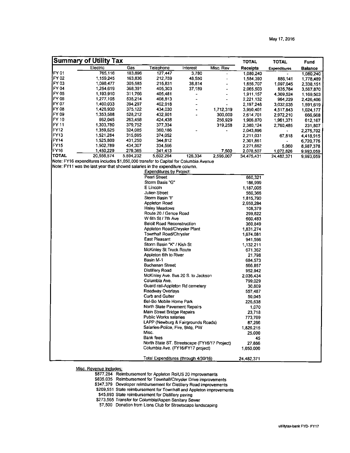|                  | <b>Summary of Utility Tax</b>                                                        |           |                                               |                |           | <b>TOTAL</b>    | <b>TOTAL</b>        | Fund           |
|------------------|--------------------------------------------------------------------------------------|-----------|-----------------------------------------------|----------------|-----------|-----------------|---------------------|----------------|
|                  | Electric                                                                             | Gas       | Telephone                                     | Interest       | Misc. Rev | <b>Receipts</b> | <b>Expenditures</b> | <b>Balance</b> |
| FY <sub>01</sub> | 765,116                                                                              | 183,896   | 127,447                                       | 3,780          |           | 1,080,240       |                     | 1,080,240      |
| FY 02            | 1,159,245                                                                            | 163,836   | 212,759                                       | 48,550         | ÷         | 1,584,390       | 886,141             | 1,778,489      |
| FY 03            | 1,098,477                                                                            | 305,585   | 215,831                                       | 36,814         |           | 1,656,707       | 1,097,045           | 2,338,151      |
| FY 04            | 1,254,619                                                                            | 368,391   | 405,303                                       | 37,189         |           | 2,065,503       | 835,784             | 3,567,870      |
| FY 05            | 1,193,910                                                                            | 311.766   | 405,481                                       |                |           | 1,911,157       | 4.309.524           | 1,169,503      |
| IFY 06           | 1.277,105                                                                            | 535,214   | 408,813                                       | $\overline{a}$ | L,        | 2,221,132       | 964,229             | 2,426,406      |
| FY 07            | 1,400,033                                                                            | 394,297   | 402,918                                       |                |           | 2,197,248       | 3,032,035           | 1,591,619      |
| IFY 08           | 1,428,930                                                                            | 375,122   | 434,030                                       | ٠              | 1,712,319 | 3,950,401       | 4,517,843           | 1,024,177      |
| IFY 09           | 1,353,588                                                                            | 528,212   | 432,901                                       |                | 300,000   | 2,614,701       | 2,972,210           | 666,668        |
| FY 10            | 962,045                                                                              | 263,458   | 424,438                                       |                | 256,929   | 1,906,870       | 1,961,371           | 612,167        |
| FY 11            | 1,303,780                                                                            | 379.752   | 377,334                                       |                | 319,258   | 2.380,124       | 2,760,485           | 231,807        |
| FY <sub>12</sub> | 1,359,625                                                                            | 324,085   | 360,186                                       |                |           | 2,043,896       |                     | 2,275,702      |
| FY <sub>13</sub> | 1,521,284                                                                            | 315,695   | 374,052                                       |                |           | 2,211,031       | 67,818              | 4,418,915      |
| <b>FY14</b>      | 1,525,800                                                                            | 431.250   | 344,812                                       |                |           | 2,301,861       |                     | 6,720,776      |
| FY15             | 1,502,789                                                                            | 434 307   | 334,566                                       |                |           | 2,271,662       | 5,060               | 8,987,378      |
| FY <sub>16</sub> | 1,450,229                                                                            | 279,365   | 341,413                                       |                | 7,500     | 2,078,507       | 1,072,826           | 9,993,059      |
| <b>TOTAL</b>     | 20,556,574                                                                           | 5,594,232 | 5,602,284                                     | 126,334        | 2.596,007 | 34,475,431      | 24,482,371          | 9,993,059      |
|                  | Note: FY16 expenditures includes \$1,050,000 transfer to Capital for Columbia Avenue |           |                                               |                |           |                 |                     |                |
|                  | Note: FY11 was the last year that showed salaries in the expenditure column.         |           |                                               |                |           |                 |                     |                |
|                  |                                                                                      |           | <b>Expenditures by Project:</b>               |                |           |                 |                     |                |
|                  |                                                                                      |           | Pearl Street                                  |                |           | 660,321         |                     |                |
|                  |                                                                                      |           | Storm Basis "G"                               |                |           | 186,999         |                     |                |
|                  |                                                                                      |           | E Lincoln                                     |                |           | 1,187,005       |                     |                |
|                  |                                                                                      |           | Julien Street                                 |                |           | 560,366         |                     |                |
|                  |                                                                                      |           | Storm Basin "I"                               |                |           | 1,815,790       |                     |                |
|                  |                                                                                      |           | Appleton Road                                 |                |           | 2,650,284       |                     |                |
|                  |                                                                                      |           | Haley Meadows                                 |                |           | 108,379         |                     |                |
|                  |                                                                                      |           | Route 20 / Genoa Road                         |                |           | 299,822         |                     |                |
|                  |                                                                                      |           | W 6th St / 7th Ave                            |                |           | 660,483         |                     |                |
|                  |                                                                                      |           | <b>Beloit Road Reconstruction</b>             |                |           | 360,849         |                     |                |
|                  |                                                                                      |           | Appleton Road/Chrysler Plant                  |                |           | 1,831,274       |                     |                |
|                  |                                                                                      |           | Townhall Road/Chrysler                        |                |           | 1,674,081       |                     |                |
|                  |                                                                                      |           | East Pleasant                                 |                |           | 941,566         |                     |                |
|                  |                                                                                      |           | Storm Basin "K" / Kish St                     |                |           | 1,132,211       |                     |                |
|                  |                                                                                      |           | McKinley St Truck Route                       |                |           | 671,362         |                     |                |
|                  |                                                                                      |           | Appleton 6th to River                         |                |           | 21,798          |                     |                |
|                  |                                                                                      |           | Basin M-1                                     |                |           | 684,573         |                     |                |
|                  |                                                                                      |           | <b>Buchanan Street</b>                        |                |           | 566,857         |                     |                |
|                  |                                                                                      |           | Distillery Road                               |                |           | 952,942         |                     |                |
|                  |                                                                                      |           | McKinley Ave. Bus 20 S. to Jackson            |                |           | 2,036,434       |                     |                |
|                  |                                                                                      |           | Columbia Ave.                                 |                |           | 799,029         |                     |                |
|                  |                                                                                      |           | Guard rail-Appleton Rd cemetery               |                |           | 30,809          |                     |                |
|                  |                                                                                      |           | Roadway Overlays                              |                |           | 557,487         |                     |                |
|                  |                                                                                      |           | Curb and Gutter                               |                |           | 50,045          |                     |                |
|                  |                                                                                      |           | Bel-Bo Mobile Home Park                       |                |           | 226,638         |                     |                |
|                  |                                                                                      |           | North State Pavement Repairs                  |                |           | 1,070           |                     |                |
|                  |                                                                                      |           | Main Street Bridge Repairs                    |                |           | 23 718          |                     |                |
|                  |                                                                                      |           | Public Works salaries                         |                |           | 773,769         |                     |                |
|                  |                                                                                      |           | LAPP (Newburg & Fairgrounds Roads)            |                |           | 87,266          |                     |                |
|                  |                                                                                      |           | Salaries-Police, Fire, Bidg, PW               |                |           | 1,826,215       |                     |                |
|                  |                                                                                      |           | Misc.                                         |                |           | 25,000          |                     |                |
|                  |                                                                                      |           | Bank fees                                     |                |           | 45              |                     |                |
|                  |                                                                                      |           | North State ST. Streetscape (FY16/17 Project) |                |           | 27.886          |                     |                |
|                  |                                                                                      |           | Columbia Ave. (FY16/FY17 project)             |                |           | 1,050,000       |                     |                |
|                  |                                                                                      |           | Total Expenditures (through 4/30/16)          |                |           | 24,482.371      |                     |                |
|                  |                                                                                      |           |                                               |                |           |                 |                     |                |

Misc. Revenue Includes:

877,284 Reimbursement for Appleton Rd/US 20 improvements

835,035 Reimbursement for Townhall/Chrysler Dnve improvements

347,379 Developer reimbursement for Distillery Road improvements 209, 551 State reimbursement for Townhall and Appleton improvements

45, 693 State reimbursement for Distillery paving

273,565 Transfer for Columbia/Aspen Sanitary Sewer

7,500 Donation from Lions Club for Streetscape landscaping